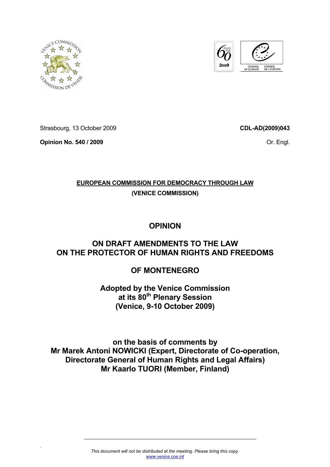



Strasbourg, 13 October 2009

**Opinion No. 540 / 2009** 

*.* 

**CDL-AD(2009)043**

Or. Engl.

# **EUROPEAN COMMISSION FOR DEMOCRACY THROUGH LAW**

# **(VENICE COMMISSION)**

# **OPINION**

# **ON DRAFT AMENDMENTS TO THE LAW ON THE PROTECTOR OF HUMAN RIGHTS AND FREEDOMS**

# **OF MONTENEGRO**

# **Adopted by the Venice Commission at its 80th Plenary Session (Venice, 9-10 October 2009)**

**on the basis of comments by Mr Marek Antoni NOWICKI (Expert, Directorate of Co-operation, Directorate General of Human Rights and Legal Affairs) Mr Kaarlo TUORI (Member, Finland)**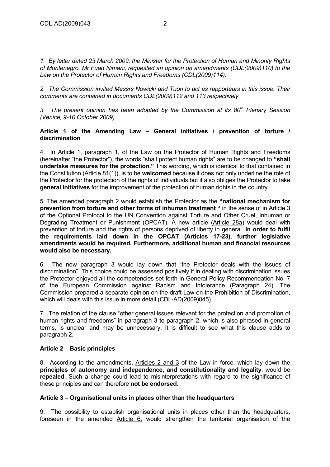*1. By letter dated 23 March 2009, the Minister for the Protection of Human and Minority Rights of Montenegro, Mr Fuad Nimani, requested an opinion on amendments (CDL(2009)110) to the Law on the Protector of Human Rights and Freedoms (CDL(2009)114).* 

*2. The Commission invited Messrs Nowicki and Tuori to act as rapporteurs in this issue. Their comments are contained in documents CDL(2009)112 and 113 respectively.* 

3. The present opinion has been adopted by the Commission at its 80<sup>th</sup> Plenary Session *(Venice, 9-10 October 2009).* 

#### **Article 1 of the Amending Law – General initiatives / prevention of torture / discrimination**

4. In Article 1, paragraph 1, of the Law on the Protector of Human Rights and Freedoms (hereinafter "the Protector"), the words "shall protect human rights" are to be changed to **"shall undertake measures for the protection."** This wording, which is identical to that contained in the Constitution (Article 81(1)), is to be **welcomed** because it does not only underline the role of the Protector for the protection of the rights of individuals but it also obliges the Protector to take **general initiatives** for the improvement of the protection of human rights in the country.

5. The amended paragraph 2 would establish the Protector as the **"national mechanism for prevention from torture and other forms of inhuman treatment "** in the sense of in Article 3 of the Optional Protocol to the UN Convention against Torture and Other Cruel, Inhuman or Degrading Treatment or Punishment (OPCAT). A new article (Article 28a) would deal with prevention of torture and the rights of persons deprived of liberty in general. **In order to fulfil the requirements laid down in the OPCAT (Articles 17-23), further legislative amendments would be required. Furthermore, additional human and financial resources would also be necessary.** 

6. The new paragraph 3 would lay down that "the Protector deals with the issues of discrimination". This choice could be assessed positively if in dealing with discrimination issues the Protector enjoyed all the competencies set forth in General Policy Recommendation No. 7 of the European Commission against Racism and Intolerance (Paragraph 24). The Commission prepared a separate opinion on the draft Law on the Prohibition of Discrimination, which will deals with this issue in more detail (CDL-AD(2009)045).

7. The relation of the clause "other general issues relevant for the protection and promotion of human rights and freedoms" in paragraph 3 to paragraph 2, which is also phrased in general terms, is unclear and may be unnecessary. It is difficult to see what this clause adds to paragraph 2.

# **Article 2 – Basic principles**

8. According to the amendments, Articles 2 and 3 of the Law in force, which lay down the **principles of autonomy and independence, and constitutionality and legality**, would be **repealed**. Such a change could lead to misinterpretations with regard to the significance of these principles and can therefore **not be endorsed**.

# **Article 3 – Organisational units in places other than the headquarters**

9. The possibility to establish organisational units in places other than the headquarters, foreseen in the amended Article 6, would strengthen the territorial organisation of the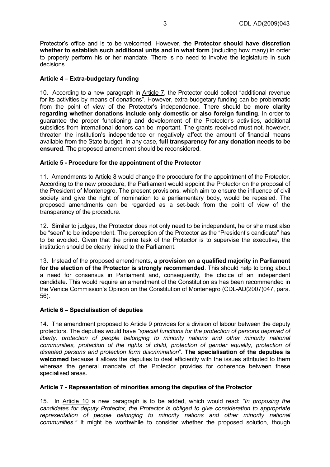Protector's office and is to be welcomed. However, the **Protector should have discretion whether to establish such additional units and in what form** (including how many) in order to properly perform his or her mandate. There is no need to involve the legislature in such decisions.

# **Article 4 – Extra-budgetary funding**

10. According to a new paragraph in Article 7, the Protector could collect "additional revenue for its activities by means of donations". However, extra-budgetary funding can be problematic from the point of view of the Protector's independence. There should be **more clarity regarding whether donations include only domestic or also foreign funding**. In order to guarantee the proper functioning and development of the Protector's activities, additional subsidies from international donors can be important. The grants received must not, however, threaten the institution's independence or negatively affect the amount of financial means available from the State budget. In any case, **full transparency for any donation needs to be ensured**. The proposed amendment should be reconsidered.

#### **Article 5 - Procedure for the appointment of the Protector**

11. Amendments to Article 8 would change the procedure for the appointment of the Protector. According to the new procedure, the Parliament would appoint the Protector on the proposal of the President of Montenegro. The present provisions, which aim to ensure the influence of civil society and give the right of nomination to a parliamentary body, would be repealed. The proposed amendments can be regarded as a set-back from the point of view of the transparency of the procedure.

12. Similar to judges, the Protector does not only need to be independent, he or she must also be "seen" to be independent. The perception of the Protector as the "President's candidate" has to be avoided. Given that the prime task of the Protector is to supervise the executive, the institution should be clearly linked to the Parliament.

13. Instead of the proposed amendments, **a provision on a qualified majority in Parliament for the election of the Protector is strongly recommended**. This should help to bring about a need for consensus in Parliament and, consequently, the choice of an independent candidate. This would require an amendment of the Constitution as has been recommended in the Venice Commission's Opinion on the Constitution of Montenegro (CDL-AD(2007)047, para. 56).

#### **Article 6 – Specialisation of deputies**

14. The amendment proposed to Article 9 provides for a division of labour between the deputy protectors. The deputies would have *"special functions for the protection of persons deprived of liberty, protection of people belonging to minority nations and other minority national communities, protection of the rights of child, protection of gender equality, protection of disabled persons and protection form discrimination*". **The specialisation of the deputies is welcomed** because it allows the deputies to deal efficiently with the issues attributed to them whereas the general mandate of the Protector provides for coherence between these specialised areas.

#### **Article 7 - Representation of minorities among the deputies of the Protector**

15. In Article 10 a new paragraph is to be added, which would read: *"In proposing the candidates for deputy Protector, the Protector is obliged to give consideration to appropriate representation of people belonging to minority nations and other minority national communities."* It might be worthwhile to consider whether the proposed solution, though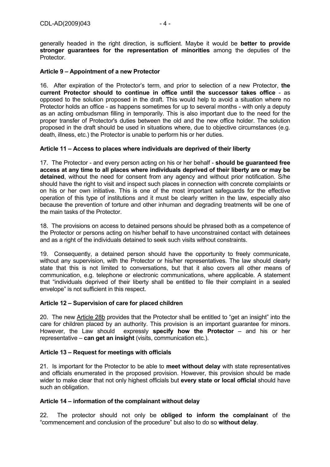generally headed in the right direction, is sufficient. Maybe it would be **better to provide stronger guarantees for the representation of minorities** among the deputies of the Protector.

### **Article 9 – Appointment of a new Protector**

16. After expiration of the Protector's term, and prior to selection of a new Protector, **the current Protector should to continue in office until the successor takes office** - as opposed to the solution proposed in the draft. This would help to avoid a situation where no Protector holds an office - as happens sometimes for up to several months - with only a deputy as an acting ombudsman filling in temporarily. This is also important due to the need for the proper transfer of Protector's duties between the old and the new office holder. The solution proposed in the draft should be used in situations where, due to objective circumstances (e.g. death, illness, etc.) the Protector is unable to perform his or her duties.

#### **Article 11 – Access to places where individuals are deprived of their liberty**

17. The Protector - and every person acting on his or her behalf - **should be guaranteed free access at any time to all places where individuals deprived of their liberty are or may be detained**, without the need for consent from any agency and without prior notification. S/he should have the right to visit and inspect such places in connection with concrete complaints or on his or her own initiative. This is one of the most important safeguards for the effective operation of this type of institutions and it must be clearly written in the law, especially also because the prevention of torture and other inhuman and degrading treatments will be one of the main tasks of the Protector.

18. The provisions on access to detained persons should be phrased both as a competence of the Protector or persons acting on his/her behalf to have unconstrained contact with detainees and as a right of the individuals detained to seek such visits without constraints.

19. Consequently, a detained person should have the opportunity to freely communicate, without any supervision, with the Protector or his/her representatives. The law should clearly state that this is not limited to conversations, but that it also covers all other means of communication, e.g. telephone or electronic communications, where applicable. A statement that "individuals deprived of their liberty shall be entitled to file their complaint in a sealed envelope" is not sufficient in this respect.

# **Article 12 – Supervision of care for placed children**

20. The new Article 28b provides that the Protector shall be entitled to "get an insight" into the care for children placed by an authority. This provision is an important guarantee for minors. However, the Law should expressly **specify how the Protector** – and his or her representative – **can get an insight** (visits, communication etc.).

# **Article 13 – Request for meetings with officials**

21. Is important for the Protector to be able to **meet without delay** with state representatives and officials enumerated in the proposed provision. However, this provision should be made wider to make clear that not only highest officials but **every state or local official** should have such an obligation.

#### **Article 14 – information of the complainant without delay**

22. The protector should not only be **obliged to inform the complainant** of the "commencement and conclusion of the procedure" but also to do so **without delay**.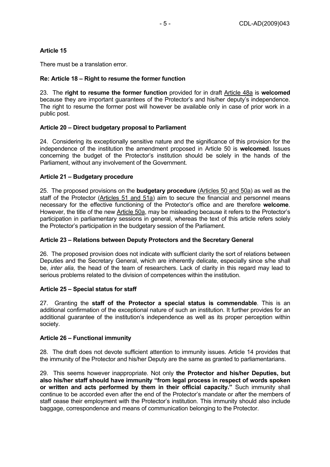# **Article 15**

There must be a translation error.

# **Re: Article 18 – Right to resume the former function**

23. The **right to resume the former function** provided for in draft Article 48a is **welcomed**  because they are important guarantees of the Protector's and his/her deputy's independence. The right to resume the former post will however be available only in case of prior work in a public post.

#### **Article 20 – Direct budgetary proposal to Parliament**

24. Considering its exceptionally sensitive nature and the significance of this provision for the independence of the institution the amendment proposed in Article 50 is **welcomed**. Issues concerning the budget of the Protector's institution should be solely in the hands of the Parliament, without any involvement of the Government.

#### **Article 21 – Budgetary procedure**

25. The proposed provisions on the **budgetary procedure** (Articles 50 and 50a) as well as the staff of the Protector (Articles 51 and 51a) aim to secure the financial and personnel means necessary for the effective functioning of the Protector's office and are therefore **welcome**. However, the title of the new Article 50a, may be misleading because it refers to the Protector's participation in parliamentary sessions in general, whereas the text of this article refers solely the Protector's participation in the budgetary session of the Parliament.

# **Article 23 – Relations between Deputy Protectors and the Secretary General**

26. The proposed provision does not indicate with sufficient clarity the sort of relations between Deputies and the Secretary General, which are inherently delicate, especially since s/he shall be, *inter alia,* the head of the team of researchers. Lack of clarity in this regard may lead to serious problems related to the division of competences within the institution.

# **Article 25 – Special status for staff**

27. Granting the **staff of the Protector a special status is commendable**. This is an additional confirmation of the exceptional nature of such an institution. It further provides for an additional guarantee of the institution's independence as well as its proper perception within society.

#### **Article 26 – Functional immunity**

28. The draft does not devote sufficient attention to immunity issues. Article 14 provides that the immunity of the Protector and his/her Deputy are the same as granted to parliamentarians.

29. This seems however inappropriate. Not only **the Protector and his/her Deputies, but also his/her staff should have immunity "from legal process in respect of words spoken or written and acts performed by them in their official capacity."** Such immunity shall continue to be accorded even after the end of the Protector's mandate or after the members of staff cease their employment with the Protector's institution. This immunity should also include baggage, correspondence and means of communication belonging to the Protector.